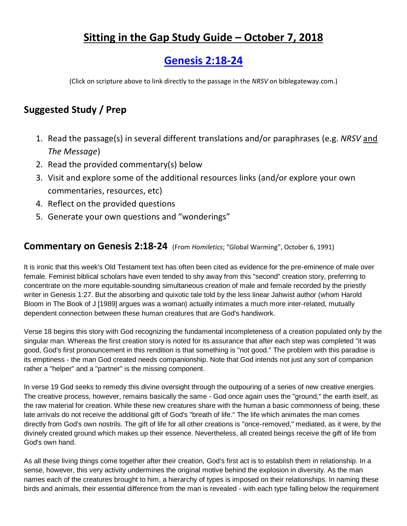# **Sitting in the Gap Study Guide – October 7, 2018**

# **[Genesis 2:18-24](https://www.biblegateway.com/passage/?search=Genesis+2%3A18-24&version=NRSV)**

(Click on scripture above to link directly to the passage in the *NRSV* on biblegateway.com.)

## **Suggested Study / Prep**

- 1. Read the passage(s) in several different translations and/or paraphrases (e.g. *NRSV* and *The Message*)
- 2. Read the provided commentary(s) below
- 3. Visit and explore some of the additional resources links (and/or explore your own commentaries, resources, etc)
- 4. Reflect on the provided questions
- 5. Generate your own questions and "wonderings"

#### **Commentary on Genesis 2:18-24** (From *Homiletics*; "Global Warming", October 6, 1991)

It is ironic that this week's Old Testament text has often been cited as evidence for the pre-eminence of male over female. Feminist biblical scholars have even tended to shy away from this "second" creation story, preferring to concentrate on the more equitable-sounding simultaneous creation of male and female recorded by the priestly writer in Genesis 1:27. But the absorbing and quixotic tale told by the less linear Jahwist author (whom Harold Bloom in The Book of J [1989] argues was a woman) actually intimates a much more inter-related, mutually dependent connection between these human creatures that are God's handiwork.

Verse 18 begins this story with God recognizing the fundamental incompleteness of a creation populated only by the singular man. Whereas the first creation story is noted for its assurance that after each step was completed "it was good, God's first pronouncement in this rendition is that something is "not good." The problem with this paradise is its emptiness - the man God created needs companionship. Note that God intends not just any sort of companion rather a "helper" and a "partner" is the missing component.

In verse 19 God seeks to remedy this divine oversight through the outpouring of a series of new creative energies. The creative process, however, remains basically the same - God once again uses the "ground," the earth itself, as the raw material for creation. While these new creatures share with the human a basic commonness of being, these late arrivals do not receive the additional gift of God's "breath of life." The life which animates the man comes directly from God's own nostrils. The gift of life for all other creations is "once-removed," mediated, as it were, by the divinely created ground which makes up their essence. Nevertheless, all created beings receive the gift of life from God's own hand.

As all these living things come together after their creation, God's first act is to establish them in relationship. In a sense, however, this very activity undermines the original motive behind the explosion in diversity. As the man names each of the creatures brought to him, a hierarchy of types is imposed on their relationships. In naming these birds and animals, their essential difference from the man is revealed - with each type falling below the requirement